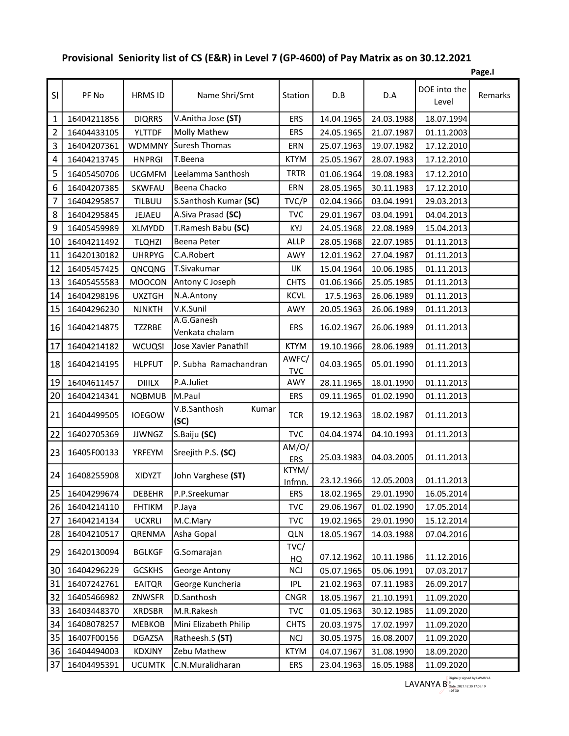## Provisional Seniority list of CS (E&R) in Level 7 (GP-4600) of Pay Matrix as on 30.12.2021

|                         |             |               |                               |                     |            |                       |                       | Page.I  |
|-------------------------|-------------|---------------|-------------------------------|---------------------|------------|-----------------------|-----------------------|---------|
| SI                      | PF No       | HRMS ID       | Name Shri/Smt                 | Station             | D.B        | D.A                   | DOE into the<br>Level | Remarks |
| $\mathbf 1$             | 16404211856 | <b>DIQRRS</b> | V.Anitha Jose (ST)            | ERS                 | 14.04.1965 | 24.03.1988            | 18.07.1994            |         |
| $\overline{2}$          | 16404433105 | <b>YLTTDF</b> | <b>Molly Mathew</b>           | <b>ERS</b>          | 24.05.1965 | 21.07.1987            | 01.11.2003            |         |
| $\mathsf 3$             | 16404207361 | <b>WDMMNY</b> | <b>Suresh Thomas</b>          | ERN                 | 25.07.1963 | 19.07.1982            | 17.12.2010            |         |
| $\overline{\mathbf{4}}$ | 16404213745 | <b>HNPRGI</b> | T.Beena                       | <b>KTYM</b>         | 25.05.1967 | 28.07.1983            | 17.12.2010            |         |
| 5                       | 16405450706 | <b>UCGMFM</b> | Leelamma Santhosh             | <b>TRTR</b>         | 01.06.1964 | 19.08.1983            | 17.12.2010            |         |
| 6                       | 16404207385 | SKWFAU        | Beena Chacko                  | ERN                 | 28.05.1965 | 30.11.1983            | 17.12.2010            |         |
| $\overline{7}$          | 16404295857 | TILBUU        | S.Santhosh Kumar (SC)         | TVC/P               | 02.04.1966 | 03.04.1991            | 29.03.2013            |         |
| 8                       | 16404295845 | JEJAEU        | A.Siva Prasad (SC)            | <b>TVC</b>          | 29.01.1967 | 03.04.1991            | 04.04.2013            |         |
| 9                       | 16405459989 | XLMYDD        | T.Ramesh Babu (SC)            | KYJ                 | 24.05.1968 | 22.08.1989            | 15.04.2013            |         |
| 10                      | 16404211492 | <b>TLQHZI</b> | Beena Peter                   | <b>ALLP</b>         | 28.05.1968 | 22.07.1985            | 01.11.2013            |         |
| 11                      | 16420130182 | <b>UHRPYG</b> | C.A.Robert                    | AWY                 | 12.01.1962 | 27.04.1987            | 01.11.2013            |         |
| 12                      | 16405457425 | QNCQNG        | T.Sivakumar                   | IJΚ                 | 15.04.1964 | 10.06.1985            | 01.11.2013            |         |
| 13                      | 16405455583 | <b>MOOCON</b> | Antony C Joseph               | <b>CHTS</b>         | 01.06.1966 | 25.05.1985            | 01.11.2013            |         |
| 14                      | 16404298196 | <b>UXZTGH</b> | N.A.Antony                    | <b>KCVL</b>         | 17.5.1963  | 26.06.1989            | 01.11.2013            |         |
| 15                      | 16404296230 | <b>NJNKTH</b> | V.K.Sunil                     | AWY                 | 20.05.1963 | 26.06.1989            | 01.11.2013            |         |
| 16                      | 16404214875 | TZZRBE        | A.G.Ganesh<br>Venkata chalam  | <b>ERS</b>          | 16.02.1967 | 26.06.1989            | 01.11.2013            |         |
| 17                      | 16404214182 | <b>WCUQSI</b> | Jose Xavier Panathil          | <b>KTYM</b>         | 19.10.1966 | 28.06.1989            | 01.11.2013            |         |
| 18                      | 16404214195 | <b>HLPFUT</b> | P. Subha Ramachandran         | AWFC/<br><b>TVC</b> | 04.03.1965 | 05.01.1990            | 01.11.2013            |         |
| 19                      | 16404611457 | <b>DIIILX</b> | P.A.Juliet                    | AWY                 | 28.11.1965 | 18.01.1990            | 01.11.2013            |         |
| 20                      | 16404214341 | <b>NQBMUB</b> | M.Paul                        | <b>ERS</b>          | 09.11.1965 | 01.02.1990            | 01.11.2013            |         |
| 21                      | 16404499505 | <b>IOEGOW</b> | V.B.Santhosh<br>Kumar<br>(SC) | <b>TCR</b>          | 19.12.1963 | 18.02.1987            | 01.11.2013            |         |
| 22                      | 16402705369 | <b>JJWNGZ</b> | S.Baiju (SC)                  | <b>TVC</b>          | 04.04.1974 | 04.10.1993            | 01.11.2013            |         |
| 23                      | 16405F00133 | YRFEYM        | Sreejith P.S. (SC)            | AM/O/<br><b>ERS</b> | 25.03.1983 | 04.03.2005            | 01.11.2013            |         |
| 24                      | 16408255908 | XIDYZT        | John Varghese (ST)            | KTYM/<br>Infmn.     |            | 23.12.1966 12.05.2003 | 01.11.2013            |         |
| 25                      | 16404299674 | <b>DEBEHR</b> | P.P.Sreekumar                 | ERS                 | 18.02.1965 | 29.01.1990            | 16.05.2014            |         |
| 26                      | 16404214110 | <b>FHTIKM</b> | P.Jaya                        | <b>TVC</b>          | 29.06.1967 | 01.02.1990            | 17.05.2014            |         |
| 27                      | 16404214134 | UCXRLI        | M.C.Mary                      | <b>TVC</b>          | 19.02.1965 | 29.01.1990            | 15.12.2014            |         |
| 28                      | 16404210517 | QRENMA        | Asha Gopal                    | <b>QLN</b>          | 18.05.1967 | 14.03.1988            | 07.04.2016            |         |
| 29                      | 16420130094 | <b>BGLKGF</b> | G.Somarajan                   | TVC/<br>HQ          | 07.12.1962 | 10.11.1986            | 11.12.2016            |         |
| 30                      | 16404296229 | <b>GCSKHS</b> | George Antony                 | <b>NCJ</b>          | 05.07.1965 | 05.06.1991            | 07.03.2017            |         |
| 31                      | 16407242761 | <b>EAITQR</b> | George Kuncheria              | <b>IPL</b>          | 21.02.1963 | 07.11.1983            | 26.09.2017            |         |
| 32                      | 16405466982 | ZNWSFR        | D.Santhosh                    | <b>CNGR</b>         | 18.05.1967 | 21.10.1991            | 11.09.2020            |         |
| 33                      | 16403448370 | <b>XRDSBR</b> | M.R.Rakesh                    | <b>TVC</b>          | 01.05.1963 | 30.12.1985            | 11.09.2020            |         |
| 34                      | 16408078257 | MEBKOB        | Mini Elizabeth Philip         | <b>CHTS</b>         | 20.03.1975 | 17.02.1997            | 11.09.2020            |         |
| 35                      | 16407F00156 | DGAZSA        | Ratheesh.S (ST)               | <b>NCJ</b>          | 30.05.1975 | 16.08.2007            | 11.09.2020            |         |
| 36                      | 16404494003 | KDXJNY        | Zebu Mathew                   | <b>KTYM</b>         | 04.07.1967 | 31.08.1990            | 18.09.2020            |         |
| 37                      | 16404495391 | <b>UCUMTK</b> | C.N.Muralidharan              | ERS                 | 23.04.1963 | 16.05.1988            | 11.09.2020            |         |

LAVANYA B  $\frac{B}{P_{\text{plate: }2021.12.30\ 17:09:19}}$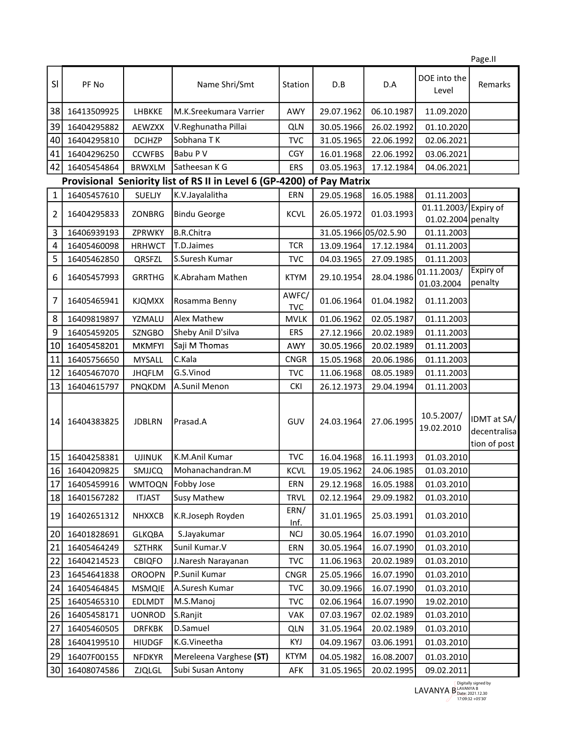|                                                                        |             |               |                         |                     |                       |            |                                            | Page.II                                     |
|------------------------------------------------------------------------|-------------|---------------|-------------------------|---------------------|-----------------------|------------|--------------------------------------------|---------------------------------------------|
| SI                                                                     | PF No       |               | Name Shri/Smt           | Station             | D.B                   | D.A        | DOE into the<br>Level                      | Remarks                                     |
| 38                                                                     | 16413509925 | LHBKKE        | M.K.Sreekumara Varrier  | AWY                 | 29.07.1962            | 06.10.1987 | 11.09.2020                                 |                                             |
| 39                                                                     | 16404295882 | <b>AEWZXX</b> | V.Reghunatha Pillai     | <b>QLN</b>          | 30.05.1966            | 26.02.1992 | 01.10.2020                                 |                                             |
| 40                                                                     | 16404295810 | <b>DCJHZP</b> | Sobhana TK              | <b>TVC</b>          | 31.05.1965            | 22.06.1992 | 02.06.2021                                 |                                             |
| 41                                                                     | 16404296250 | <b>CCWFBS</b> | Babu P V                | <b>CGY</b>          | 16.01.1968            | 22.06.1992 | 03.06.2021                                 |                                             |
| 42                                                                     | 16405454864 | <b>BRWXLM</b> | Satheesan K G           | <b>ERS</b>          | 03.05.1963            | 17.12.1984 | 04.06.2021                                 |                                             |
| Provisional Seniority list of RS II in Level 6 (GP-4200) of Pay Matrix |             |               |                         |                     |                       |            |                                            |                                             |
| 1                                                                      | 16405457610 | SUELJY        | K.V.Jayalalitha         | ERN                 | 29.05.1968            | 16.05.1988 | 01.11.2003                                 |                                             |
| 2                                                                      | 16404295833 | ZONBRG        | <b>Bindu George</b>     | <b>KCVL</b>         | 26.05.1972            | 01.03.1993 | 01.11.2003/Expiry of<br>01.02.2004 penalty |                                             |
| 3                                                                      | 16406939193 | ZPRWKY        | <b>B.R.Chitra</b>       |                     | 31.05.1966 05/02.5.90 |            | 01.11.2003                                 |                                             |
| 4                                                                      | 16405460098 | <b>HRHWCT</b> | T.D.Jaimes              | <b>TCR</b>          | 13.09.1964            | 17.12.1984 | 01.11.2003                                 |                                             |
| 5                                                                      | 16405462850 | QRSFZL        | S.Suresh Kumar          | <b>TVC</b>          | 04.03.1965            | 27.09.1985 | 01.11.2003                                 |                                             |
| 6                                                                      | 16405457993 | <b>GRRTHG</b> | K.Abraham Mathen        | <b>KTYM</b>         | 29.10.1954            | 28.04.1986 | 01.11.2003/<br>01.03.2004                  | Expiry of<br>penalty                        |
| 7                                                                      | 16405465941 | <b>KJQMXX</b> | Rosamma Benny           | AWFC/<br><b>TVC</b> | 01.06.1964            | 01.04.1982 | 01.11.2003                                 |                                             |
| 8                                                                      | 16409819897 | YZMALU        | <b>Alex Mathew</b>      | <b>MVLK</b>         | 01.06.1962            | 02.05.1987 | 01.11.2003                                 |                                             |
| 9                                                                      | 16405459205 | <b>SZNGBO</b> | Sheby Anil D'silva      | <b>ERS</b>          | 27.12.1966            | 20.02.1989 | 01.11.2003                                 |                                             |
| 10                                                                     | 16405458201 | <b>MKMFYI</b> | Saji M Thomas           | AWY                 | 30.05.1966            | 20.02.1989 | 01.11.2003                                 |                                             |
| 11                                                                     | 16405756650 | <b>MYSALL</b> | C.Kala                  | <b>CNGR</b>         | 15.05.1968            | 20.06.1986 | 01.11.2003                                 |                                             |
| 12                                                                     | 16405467070 | <b>JHQFLM</b> | G.S.Vinod               | <b>TVC</b>          | 11.06.1968            | 08.05.1989 | 01.11.2003                                 |                                             |
| 13                                                                     | 16404615797 | <b>PNQKDM</b> | A.Sunil Menon           | <b>CKI</b>          | 26.12.1973            | 29.04.1994 | 01.11.2003                                 |                                             |
| 14                                                                     | 16404383825 | <b>JDBLRN</b> | Prasad.A                | GUV                 | 24.03.1964            | 27.06.1995 | 10.5.2007/<br>19.02.2010                   | IDMT at SA/<br>decentralisa<br>tion of post |
| 15                                                                     | 16404258381 | <b>UJINUK</b> | K.M.Anil Kumar          | <b>TVC</b>          | 16.04.1968            | 16.11.1993 | 01.03.2010                                 |                                             |
| 16                                                                     | 16404209825 | SMJJCQ        | Mohanachandran.M        | KCVL                | 19.05.1962            | 24.06.1985 | 01.03.2010                                 |                                             |
| 17                                                                     | 16405459916 | <b>WMTOQN</b> | Fobby Jose              | ERN                 | 29.12.1968            | 16.05.1988 | 01.03.2010                                 |                                             |
| 18                                                                     | 16401567282 | <b>ITJAST</b> | <b>Susy Mathew</b>      | <b>TRVL</b>         | 02.12.1964            | 29.09.1982 | 01.03.2010                                 |                                             |
| 19                                                                     | 16402651312 | <b>NHXXCB</b> | K.R.Joseph Royden       | ERN/<br>Inf.        | 31.01.1965            | 25.03.1991 | 01.03.2010                                 |                                             |
| 20                                                                     | 16401828691 | <b>GLKQBA</b> | S.Jayakumar             | <b>NCI</b>          | 30.05.1964            | 16.07.1990 | 01.03.2010                                 |                                             |
| 21                                                                     | 16405464249 | <b>SZTHRK</b> | Sunil Kumar.V           | ERN                 | 30.05.1964            | 16.07.1990 | 01.03.2010                                 |                                             |
| 22                                                                     | 16404214523 | <b>CBIQFO</b> | J.Naresh Narayanan      | TVC                 | 11.06.1963            | 20.02.1989 | 01.03.2010                                 |                                             |
| 23                                                                     | 16454641838 | <b>OROOPN</b> | P.Sunil Kumar           | <b>CNGR</b>         | 25.05.1966            | 16.07.1990 | 01.03.2010                                 |                                             |
| 24                                                                     | 16405464845 | <b>MSMQIE</b> | A.Suresh Kumar          | <b>TVC</b>          | 30.09.1966            | 16.07.1990 | 01.03.2010                                 |                                             |
| 25                                                                     | 16405465310 | EDLMDT        | M.S.Manoj               | <b>TVC</b>          | 02.06.1964            | 16.07.1990 | 19.02.2010                                 |                                             |
| 26                                                                     | 16405458171 | <b>UONROD</b> | S.Ranjit                | VAK                 | 07.03.1967            | 02.02.1989 | 01.03.2010                                 |                                             |
| 27                                                                     | 16405460505 | <b>DRFKBK</b> | D.Samuel                | <b>QLN</b>          | 31.05.1964            | 20.02.1989 | 01.03.2010                                 |                                             |
| 28                                                                     | 16404199510 | <b>HIUDGF</b> | K.G.Vineetha            | KYJ                 | 04.09.1967            | 03.06.1991 | 01.03.2010                                 |                                             |
| 29                                                                     | 16407F00155 | <b>NFDKYR</b> | Mereleena Varghese (ST) | <b>KTYM</b>         | 04.05.1982            | 16.08.2007 | 01.03.2010                                 |                                             |
| 30                                                                     | 16408074586 | ZJQLGL        | Subi Susan Antony       | AFK                 | 31.05.1965            | 20.02.1995 | 09.02.2011                                 |                                             |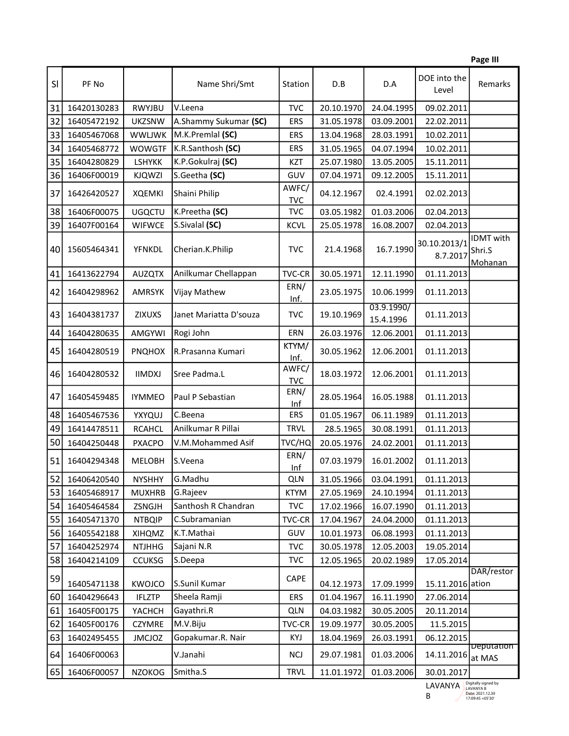|    |             |               |                        |                     |            |                         |                          | Page III                       |
|----|-------------|---------------|------------------------|---------------------|------------|-------------------------|--------------------------|--------------------------------|
| SI | PF No       |               | Name Shri/Smt          | Station             | D.B        | D.A                     | DOE into the<br>Level    | Remarks                        |
| 31 | 16420130283 | RWYJBU        | V.Leena                | <b>TVC</b>          | 20.10.1970 | 24.04.1995              | 09.02.2011               |                                |
| 32 | 16405472192 | <b>UKZSNW</b> | A.Shammy Sukumar (SC)  | <b>ERS</b>          | 31.05.1978 | 03.09.2001              | 22.02.2011               |                                |
| 33 | 16405467068 | <b>WWLJWK</b> | M.K.Premlal (SC)       | <b>ERS</b>          | 13.04.1968 | 28.03.1991              | 10.02.2011               |                                |
| 34 | 16405468772 | <b>WOWGTF</b> | K.R.Santhosh (SC)      | <b>ERS</b>          | 31.05.1965 | 04.07.1994              | 10.02.2011               |                                |
| 35 | 16404280829 | <b>LSHYKK</b> | K.P.Gokulraj (SC)      | <b>KZT</b>          | 25.07.1980 | 13.05.2005              | 15.11.2011               |                                |
| 36 | 16406F00019 | <b>KJQWZI</b> | S.Geetha (SC)          | GUV                 | 07.04.1971 | 09.12.2005              | 15.11.2011               |                                |
| 37 | 16426420527 | <b>XQEMKI</b> | Shaini Philip          | AWFC/<br><b>TVC</b> | 04.12.1967 | 02.4.1991               | 02.02.2013               |                                |
| 38 | 16406F00075 | <b>UGQCTU</b> | K.Preetha (SC)         | <b>TVC</b>          | 03.05.1982 | 01.03.2006              | 02.04.2013               |                                |
| 39 | 16407F00164 | <b>WIFWCE</b> | S.Sivalal (SC)         | <b>KCVL</b>         | 25.05.1978 | 16.08.2007              | 02.04.2013               |                                |
| 40 | 15605464341 | <b>YFNKDL</b> | Cherian.K.Philip       | <b>TVC</b>          | 21.4.1968  | 16.7.1990               | 30.10.2013/1<br>8.7.2017 | IDMT with<br>Shri.S<br>Mohanan |
| 41 | 16413622794 | <b>AUZQTX</b> | Anilkumar Chellappan   | <b>TVC-CR</b>       | 30.05.1971 | 12.11.1990              | 01.11.2013               |                                |
| 42 | 16404298962 | <b>AMRSYK</b> | Vijay Mathew           | ERN/<br>Inf.        | 23.05.1975 | 10.06.1999              | 01.11.2013               |                                |
| 43 | 16404381737 | <b>ZIXUXS</b> | Janet Mariatta D'souza | <b>TVC</b>          | 19.10.1969 | 03.9.1990/<br>15.4.1996 | 01.11.2013               |                                |
| 44 | 16404280635 | AMGYWI        | Rogi John              | ERN                 | 26.03.1976 | 12.06.2001              | 01.11.2013               |                                |
| 45 | 16404280519 | <b>PNQHOX</b> | R.Prasanna Kumari      | KTYM/<br>Inf.       | 30.05.1962 | 12.06.2001              | 01.11.2013               |                                |
| 46 | 16404280532 | <b>IIMDXJ</b> | Sree Padma.L           | AWFC/<br><b>TVC</b> | 18.03.1972 | 12.06.2001              | 01.11.2013               |                                |
| 47 | 16405459485 | <b>IYMMEO</b> | Paul P Sebastian       | ERN/<br>Inf         | 28.05.1964 | 16.05.1988              | 01.11.2013               |                                |
| 48 | 16405467536 | YXYQUJ        | C.Beena                | <b>ERS</b>          | 01.05.1967 | 06.11.1989              | 01.11.2013               |                                |
| 49 | 16414478511 | <b>RCAHCL</b> | Anilkumar R Pillai     | <b>TRVL</b>         | 28.5.1965  | 30.08.1991              | 01.11.2013               |                                |
| 50 | 16404250448 | <b>PXACPO</b> | V.M.Mohammed Asif      | TVC/HQ              | 20.05.1976 | 24.02.2001              | 01.11.2013               |                                |
| 51 | 16404294348 | <b>MELOBH</b> | S.Veena                | ERN/<br>Inf         | 07.03.1979 | 16.01.2002              | 01.11.2013               |                                |
| 52 | 16406420540 | <b>NYSHHY</b> | G.Madhu                | <b>QLN</b>          | 31.05.1966 | 03.04.1991              | 01.11.2013               |                                |
| 53 | 16405468917 | <b>MUXHRB</b> | G.Rajeev               | <b>KTYM</b>         | 27.05.1969 | 24.10.1994              | 01.11.2013               |                                |
| 54 | 16405464584 | ZSNGJH        | Santhosh R Chandran    | TVC                 | 17.02.1966 | 16.07.1990              | 01.11.2013               |                                |
| 55 | 16405471370 | <b>NTBQIP</b> | C.Subramanian          | <b>TVC-CR</b>       | 17.04.1967 | 24.04.2000              | 01.11.2013               |                                |
| 56 | 16405542188 | XIHQMZ        | K.T.Mathai             | GUV                 | 10.01.1973 | 06.08.1993              | 01.11.2013               |                                |
| 57 | 16404252974 | <b>NTJHHG</b> | Sajani N.R             | <b>TVC</b>          | 30.05.1978 | 12.05.2003              | 19.05.2014               |                                |
| 58 | 16404214109 | <b>CCUKSG</b> | S.Deepa                | <b>TVC</b>          | 12.05.1965 | 20.02.1989              | 17.05.2014               |                                |
| 59 |             |               |                        | CAPE                |            |                         |                          | DAR/restor                     |
|    | 16405471138 | KWOJCO        | S.Sunil Kumar          |                     | 04.12.1973 | 17.09.1999              | 15.11.2016 ation         |                                |
| 60 | 16404296643 | <b>IFLZTP</b> | Sheela Ramji           | <b>ERS</b>          | 01.04.1967 | 16.11.1990              | 27.06.2014               |                                |
| 61 | 16405F00175 | YACHCH        | Gayathri.R             | <b>QLN</b>          | 04.03.1982 | 30.05.2005              | 20.11.2014               |                                |
| 62 | 16405F00176 | CZYMRE        | M.V.Biju               | <b>TVC-CR</b>       | 19.09.1977 | 30.05.2005              | 11.5.2015                |                                |
| 63 | 16402495455 | <b>JMCJOZ</b> | Gopakumar.R. Nair      | KYJ                 | 18.04.1969 | 26.03.1991              | 06.12.2015               | <b>Deputation</b>              |
| 64 | 16406F00063 |               | V.Janahi               | <b>NCI</b>          | 29.07.1981 | 01.03.2006              | 14.11.2016               | at MAS                         |
| 65 | 16406F00057 | <b>NZOKOG</b> | Smitha.S               | <b>TRVL</b>         | 11.01.1972 | 01.03.2006              | 30.01.2017               |                                |

LAVANYA B Digitally signed by LAVANYA B Date: 2021.12.30 17:09:45 +05'30'